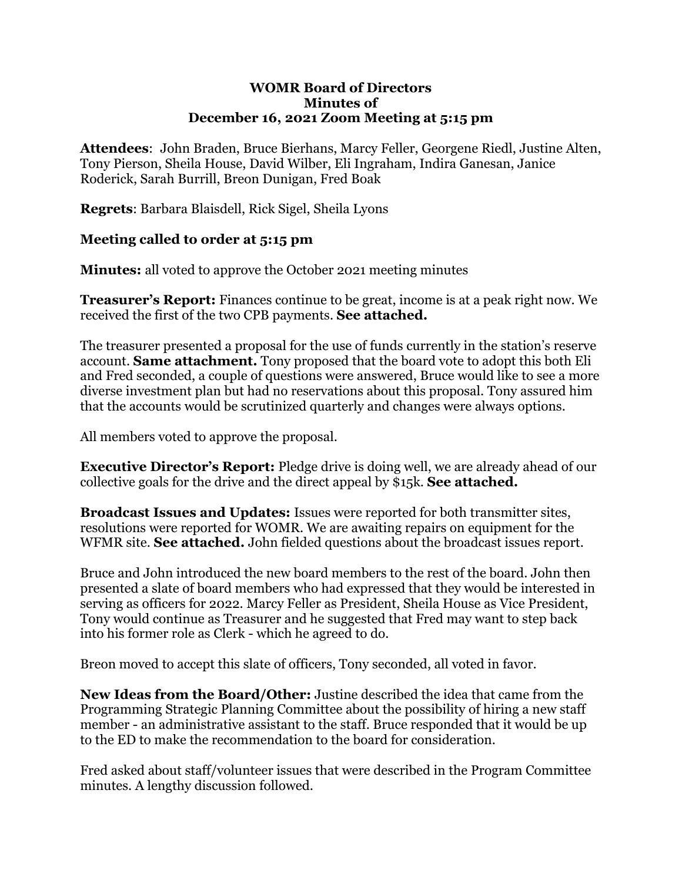#### **WOMR Board of Directors Minutes of December 16, 2021 Zoom Meeting at 5:15 pm**

**Attendees**: John Braden, Bruce Bierhans, Marcy Feller, Georgene Riedl, Justine Alten, Tony Pierson, Sheila House, David Wilber, Eli Ingraham, Indira Ganesan, Janice Roderick, Sarah Burrill, Breon Dunigan, Fred Boak

**Regrets**: Barbara Blaisdell, Rick Sigel, Sheila Lyons

### **Meeting called to order at 5:15 pm**

**Minutes:** all voted to approve the October 2021 meeting minutes

**Treasurer's Report:** Finances continue to be great, income is at a peak right now. We received the first of the two CPB payments. **See attached.**

The treasurer presented a proposal for the use of funds currently in the station's reserve account. **Same attachment.** Tony proposed that the board vote to adopt this both Eli and Fred seconded, a couple of questions were answered, Bruce would like to see a more diverse investment plan but had no reservations about this proposal. Tony assured him that the accounts would be scrutinized quarterly and changes were always options.

All members voted to approve the proposal.

**Executive Director's Report:** Pledge drive is doing well, we are already ahead of our collective goals for the drive and the direct appeal by \$15k. **See attached.**

**Broadcast Issues and Updates:** Issues were reported for both transmitter sites, resolutions were reported for WOMR. We are awaiting repairs on equipment for the WFMR site. **See attached.** John fielded questions about the broadcast issues report.

Bruce and John introduced the new board members to the rest of the board. John then presented a slate of board members who had expressed that they would be interested in serving as officers for 2022. Marcy Feller as President, Sheila House as Vice President, Tony would continue as Treasurer and he suggested that Fred may want to step back into his former role as Clerk - which he agreed to do.

Breon moved to accept this slate of officers, Tony seconded, all voted in favor.

**New Ideas from the Board/Other:** Justine described the idea that came from the Programming Strategic Planning Committee about the possibility of hiring a new staff member - an administrative assistant to the staff. Bruce responded that it would be up to the ED to make the recommendation to the board for consideration.

Fred asked about staff/volunteer issues that were described in the Program Committee minutes. A lengthy discussion followed.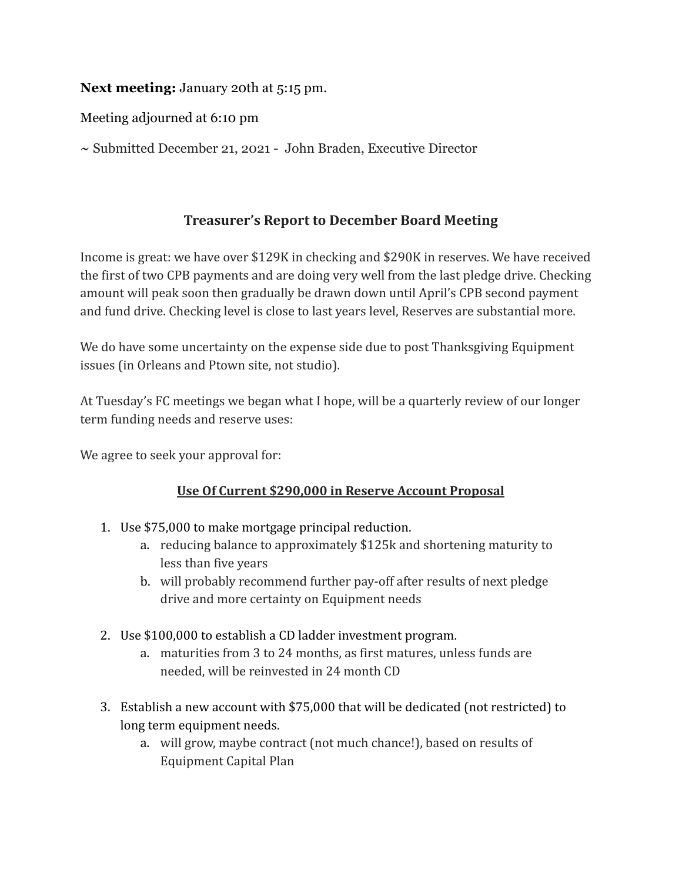## **Next meeting:** January 20th at 5:15 pm.

Meeting adjourned at 6:10 pm

**~** Submitted December 21, 2021 - John Braden, Executive Director

## **Treasurer's Report to December Board Meeting**

Income is great: we have over \$129K in checking and \$290K in reserves. We have received the first of two CPB payments and are doing very well from the last pledge drive. Checking amount will peak soon then gradually be drawn down until April's CPB second payment and fund drive. Checking level is close to last years level, Reserves are substantial more.

We do have some uncertainty on the expense side due to post Thanksgiving Equipment issues (in Orleans and Ptown site, not studio).

At Tuesday's FC meetings we began what I hope, will be a quarterly review of our longer term funding needs and reserve uses:

We agree to seek your approval for:

### **Use Of Current \$290,000 in Reserve Account Proposal**

- 1. Use \$75,000 to make mortgage principal reduction.
	- a. reducing balance to approximately \$125k and shortening maturity to less than five years
	- b. will probably recommend further pay-off after results of next pledge drive and more certainty on Equipment needs
- 2. Use \$100,000 to establish a CD ladder investment program.
	- a. maturities from 3 to 24 months, as first matures, unless funds are needed, will be reinvested in 24 month CD
- 3. Establish a new account with \$75,000 that will be dedicated (not restricted) to long term equipment needs.
	- a. will grow, maybe contract (not much chance!), based on results of Equipment Capital Plan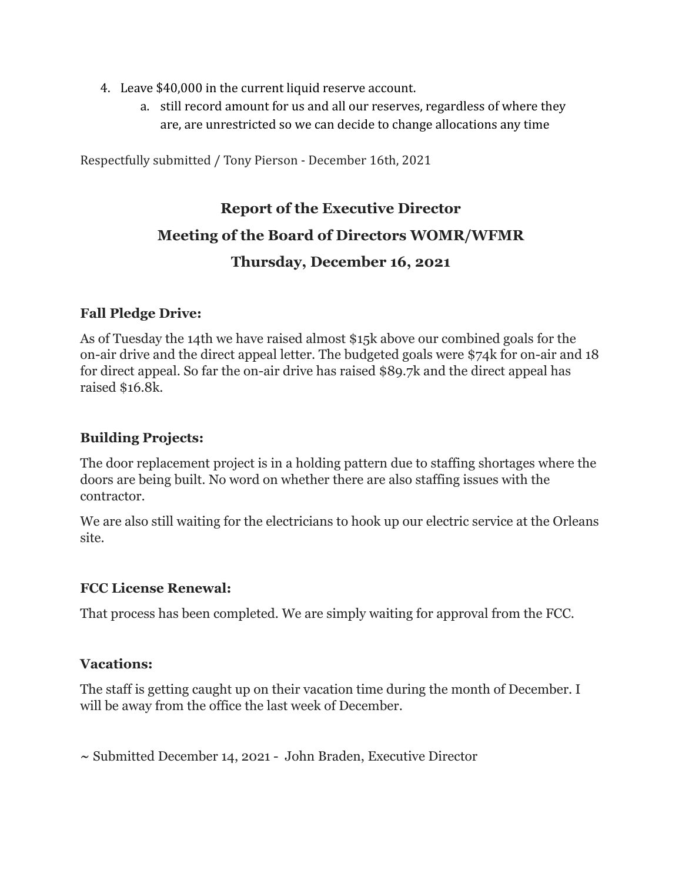- 4. Leave \$40,000 in the current liquid reserve account.
	- a. still record amount for us and all our reserves, regardless of where they are, are unrestricted so we can decide to change allocations any time

Respectfully submitted / Tony Pierson - December 16th, 2021

## **Report of the Executive Director**

## **Meeting of the Board of Directors WOMR/WFMR**

## **Thursday, December 16, 2021**

### **Fall Pledge Drive:**

As of Tuesday the 14th we have raised almost \$15k above our combined goals for the on-air drive and the direct appeal letter. The budgeted goals were \$74k for on-air and 18 for direct appeal. So far the on-air drive has raised \$89.7k and the direct appeal has raised \$16.8k.

## **Building Projects:**

The door replacement project is in a holding pattern due to staffing shortages where the doors are being built. No word on whether there are also staffing issues with the contractor.

We are also still waiting for the electricians to hook up our electric service at the Orleans site.

### **FCC License Renewal:**

That process has been completed. We are simply waiting for approval from the FCC.

### **Vacations:**

The staff is getting caught up on their vacation time during the month of December. I will be away from the office the last week of December.

**~** Submitted December 14, 2021 - John Braden, Executive Director